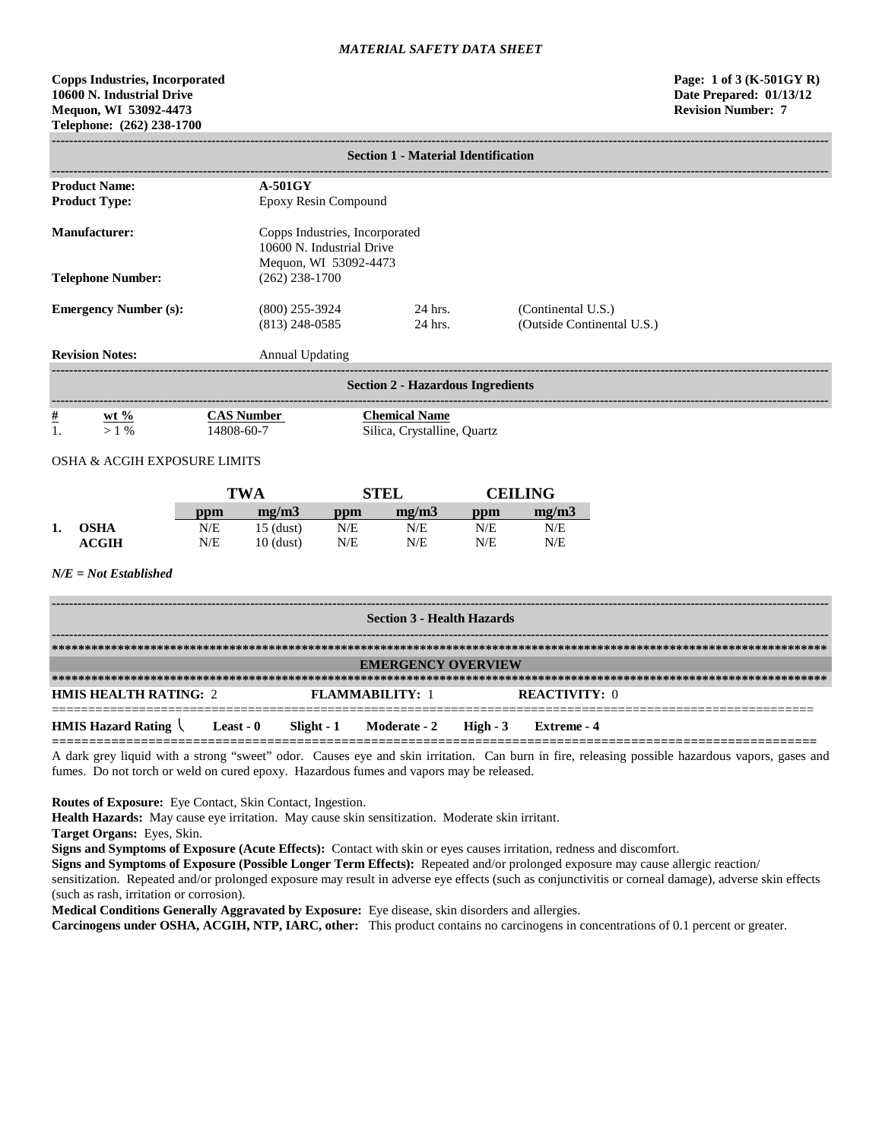# **Copps Industries, Incorporated Page: 1 of 3 (K-501GY R) 10600 N. Industrial Drive Date Prepared: 01/13/12 Mequon, WI 53092-4473 Revision Number: 7 Telephone: (262) 238-1700**

| <b>Section 1 - Material Identification</b>   |                                                                                      |                            |                    |                                                     |                                                  |                |  |
|----------------------------------------------|--------------------------------------------------------------------------------------|----------------------------|--------------------|-----------------------------------------------------|--------------------------------------------------|----------------|--|
| <b>Product Name:</b><br><b>Product Type:</b> | $A-501GY$<br>Epoxy Resin Compound                                                    |                            |                    |                                                     |                                                  |                |  |
| <b>Manufacturer:</b>                         | Copps Industries, Incorporated<br>10600 N. Industrial Drive<br>Mequon, WI 53092-4473 |                            |                    |                                                     |                                                  |                |  |
| <b>Telephone Number:</b>                     |                                                                                      | $(262)$ 238-1700           |                    |                                                     |                                                  |                |  |
| <b>Emergency Number (s):</b>                 | $(800)$ 255-3924<br>$(813)$ 248-0585                                                 |                            | 24 hrs.<br>24 hrs. |                                                     | (Continental U.S.)<br>(Outside Continental U.S.) |                |  |
| <b>Revision Notes:</b>                       |                                                                                      | <b>Annual Updating</b>     |                    |                                                     |                                                  |                |  |
|                                              |                                                                                      |                            |                    | <b>Section 2 - Hazardous Ingredients</b>            |                                                  |                |  |
| $\frac{\#}{1}$<br>$Wt\%$<br>$>1\%$           | 14808-60-7                                                                           | <b>CAS Number</b>          |                    | <b>Chemical Name</b><br>Silica, Crystalline, Quartz |                                                  |                |  |
| OSHA & ACGIH EXPOSURE LIMITS                 |                                                                                      |                            |                    |                                                     |                                                  |                |  |
|                                              |                                                                                      | <b>TWA</b>                 |                    | <b>STEL</b>                                         |                                                  | <b>CEILING</b> |  |
|                                              | ppm                                                                                  | mg/m3                      | ppm                | mg/m3                                               | ppm                                              | mg/m3          |  |
| <b>OSHA</b><br>1.<br><b>ACGIH</b>            | N/E<br>N/E                                                                           | $15$ (dust)<br>$10$ (dust) | N/E<br>N/E         | N/E<br>N/E                                          | N/E<br>N/E                                       | N/E<br>N/E     |  |
| $N/E = Not$ Established                      |                                                                                      |                            |                    |                                                     |                                                  |                |  |
| <b>Section 3 - Health Hazards</b>            |                                                                                      |                            |                    |                                                     |                                                  |                |  |
|                                              |                                                                                      |                            |                    |                                                     |                                                  |                |  |
|                                              |                                                                                      |                            |                    | <b>EMERGENCY OVERVIEW</b>                           |                                                  |                |  |

========================================================================================================= **HMIS Hazard Rating Least - 0 Slight - 1 Moderate - 2 High - 3 Extreme - 4 =======================================================================================================**

A dark grey liquid with a strong "sweet" odor. Causes eye and skin irritation. Can burn in fire, releasing possible hazardous vapors, gases and fumes. Do not torch or weld on cured epoxy. Hazardous fumes and vapors may be released.

**Routes of Exposure:** Eye Contact, Skin Contact, Ingestion.

**Health Hazards:** May cause eye irritation. May cause skin sensitization. Moderate skin irritant.

**HMIS HEALTH RATING:** 2 **FLAMMABILITY:** 1 **REACTIVITY:** 0

**Target Organs:** Eyes, Skin.

**Signs and Symptoms of Exposure (Acute Effects):** Contact with skin or eyes causes irritation, redness and discomfort.

**Signs and Symptoms of Exposure (Possible Longer Term Effects):** Repeated and/or prolonged exposure may cause allergic reaction/

sensitization. Repeated and/or prolonged exposure may result in adverse eye effects (such as conjunctivitis or corneal damage), adverse skin effects (such as rash, irritation or corrosion).

**Medical Conditions Generally Aggravated by Exposure:** Eye disease, skin disorders and allergies.

**Carcinogens under OSHA, ACGIH, NTP, IARC, other:** This product contains no carcinogens in concentrations of 0.1 percent or greater.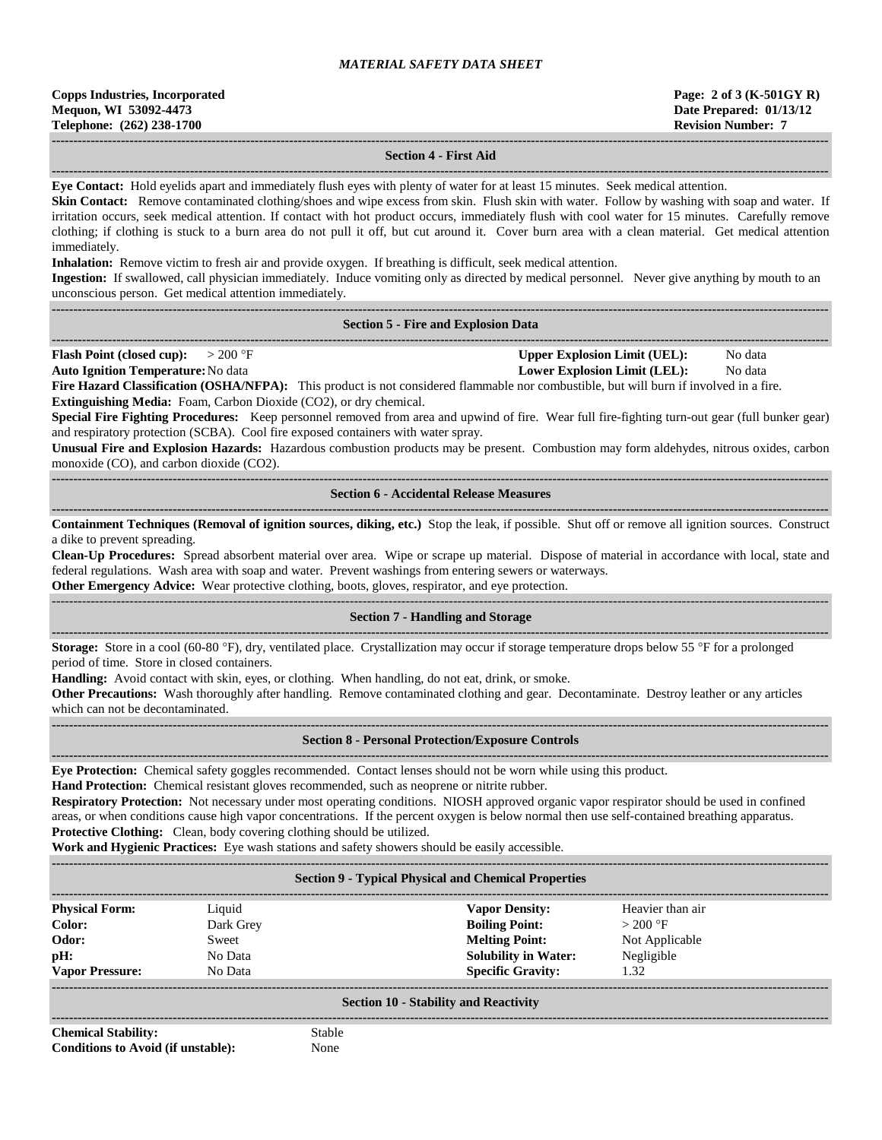| <b>Copps Industries, Incorporated</b> |
|---------------------------------------|
| Mequon, WI 53092-4473                 |
| Telephone: (262) 238-1700             |

immediately.

## **------------------------------------------------------------------------------------------------------------------------------------------------------------------------------------ Section 4 - First Aid**

**------------------------------------------------------------------------------------------------------------------------------------------------------------------------------------**

**Eye Contact:** Hold eyelids apart and immediately flush eyes with plenty of water for at least 15 minutes. Seek medical attention. **Skin Contact:** Remove contaminated clothing/shoes and wipe excess from skin. Flush skin with water. Follow by washing with soap and water. If irritation occurs, seek medical attention. If contact with hot product occurs, immediately flush with cool water for 15 minutes. Carefully remove clothing; if clothing is stuck to a burn area do not pull it off, but cut around it. Cover burn area with a clean material. Get medical attention

**Inhalation:** Remove victim to fresh air and provide oxygen. If breathing is difficult, seek medical attention.

**Ingestion:** If swallowed, call physician immediately. Induce vomiting only as directed by medical personnel. Never give anything by mouth to an unconscious person. Get medical attention immediately.

#### **------------------------------------------------------------------------------------------------------------------------------------------------------------------------------------ Section 5 - Fire and Explosion Data**

**------------------------------------------------------------------------------------------------------------------------------------------------------------------------------------ Flash Point (closed cup):**  $> 200 \text{ }^{\circ}\text{F}$  **Upper Explosion Limit (UEL):** No data

**Auto Ignition Temperature:**No data **Lower Explosion Limit (LEL):** No data

**Fire Hazard Classification (OSHA/NFPA):** This product is not considered flammable nor combustible, but will burn if involved in a fire. **Extinguishing Media:** Foam, Carbon Dioxide (CO2), or dry chemical.

**Special Fire Fighting Procedures:** Keep personnel removed from area and upwind of fire. Wear full fire-fighting turn-out gear (full bunker gear) and respiratory protection (SCBA). Cool fire exposed containers with water spray.

**Unusual Fire and Explosion Hazards:** Hazardous combustion products may be present. Combustion may form aldehydes, nitrous oxides, carbon monoxide (CO), and carbon dioxide (CO2).

**------------------------------------------------------------------------------------------------------------------------------------------------------------------------------------ Section 6 - Accidental Release Measures**

**------------------------------------------------------------------------------------------------------------------------------------------------------------------------------------ Containment Techniques (Removal of ignition sources, diking, etc.)** Stop the leak, if possible. Shut off or remove all ignition sources. Construct a dike to prevent spreading.

**Clean-Up Procedures:** Spread absorbent material over area. Wipe or scrape up material. Dispose of material in accordance with local, state and federal regulations. Wash area with soap and water. Prevent washings from entering sewers or waterways.

**Other Emergency Advice:** Wear protective clothing, boots, gloves, respirator, and eye protection.

#### ------------------------------------------------------------------------------------------------------------------------------------------------------------------------------------ **Section 7 - Handling and Storage**

**------------------------------------------------------------------------------------------------------------------------------------------------------------------------------------ Storage:** Store in a cool (60-80 °F), dry, ventilated place. Crystallization may occur if storage temperature drops below 55 °F for a prolonged period of time. Store in closed containers.

**Handling:** Avoid contact with skin, eyes, or clothing. When handling, do not eat, drink, or smoke.

**Other Precautions:** Wash thoroughly after handling. Remove contaminated clothing and gear. Decontaminate. Destroy leather or any articles which can not be decontaminated.

**------------------------------------------------------------------------------------------------------------------------------------------------------------------------------------**

#### **------------------------------------------------------------------------------------------------------------------------------------------------------------------------------------ Section 8 - Personal Protection/Exposure Controls**

**Eye Protection:** Chemical safety goggles recommended. Contact lenses should not be worn while using this product.

**Hand Protection:** Chemical resistant gloves recommended, such as neoprene or nitrite rubber.

**Respiratory Protection:** Not necessary under most operating conditions. NIOSH approved organic vapor respirator should be used in confined areas, or when conditions cause high vapor concentrations. If the percent oxygen is below normal then use self-contained breathing apparatus. **Protective Clothing:** Clean, body covering clothing should be utilized.

**Work and Hygienic Practices:** Eye wash stations and safety showers should be easily accessible.

**------------------------------------------------------------------------------------------------------------------------------------------------------------------------------------**

#### **Section 9 - Typical Physical and Chemical Properties**

| <b>Physical Form:</b>  | Liquid    | <b>Vapor Density:</b>       | Heavier than air |  |
|------------------------|-----------|-----------------------------|------------------|--|
| Color:                 | Dark Grey | <b>Boiling Point:</b>       | $>200$ °F        |  |
| Odor:                  | Sweet     | <b>Melting Point:</b>       | Not Applicable   |  |
| pH:                    | No Data   | <b>Solubility in Water:</b> | Negligible       |  |
| <b>Vapor Pressure:</b> | No Data   | <b>Specific Gravity:</b>    | 1.32             |  |
|                        |           |                             |                  |  |

## **Section 10 - Stability and Reactivity ------------------------------------------------------------------------------------------------------------------------------------------------------------------------------------**

**Chemical Stability:** Stable **Conditions to Avoid (if unstable):** None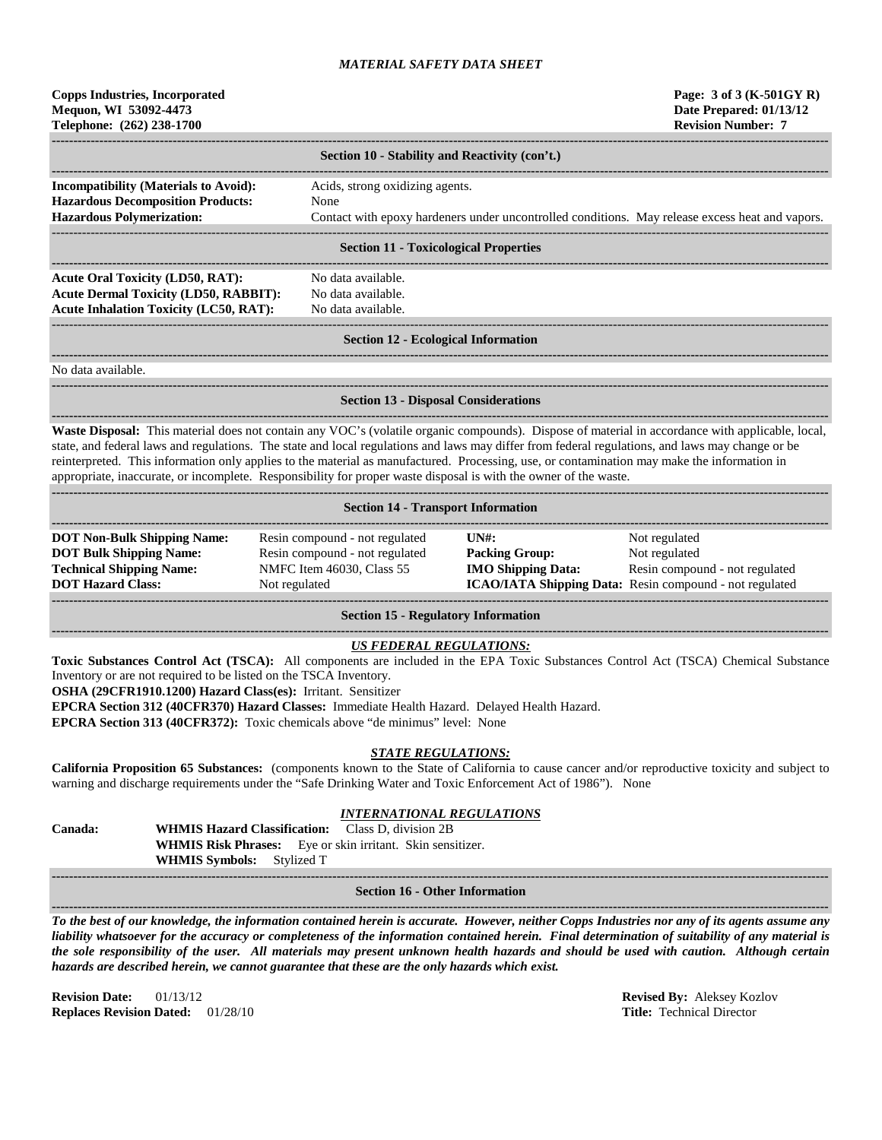# **Copps Industries, Incorporated Page: 3 of 3 (K-501GY R) Mequon, WI 53092-4473 Date Prepared: 01/13/12 Telephone: (262) 238-1700 Revision Number: 7**

|                                              | Section 10 - Stability and Reactivity (con't.)                                                  |  |  |
|----------------------------------------------|-------------------------------------------------------------------------------------------------|--|--|
|                                              |                                                                                                 |  |  |
| <b>Incompatibility (Materials to Avoid):</b> | Acids, strong oxidizing agents.                                                                 |  |  |
| <b>Hazardous Decomposition Products:</b>     | None                                                                                            |  |  |
| <b>Hazardous Polymerization:</b>             | Contact with epoxy hardeners under uncontrolled conditions. May release excess heat and vapors. |  |  |
|                                              |                                                                                                 |  |  |
| <b>Section 11 - Toxicological Properties</b> |                                                                                                 |  |  |

#### **Section 11 - Toxicological Properties**

**------------------------------------------------------------------------------------------------------------------------------------------------------------------------------------** Acute Oral Toxicity (LD50, RAT): No data available. **Acute Dermal Toxicity (LD50, RABBIT):** No data available. Acute Inhalation Toxicity (LC50, RAT): No data available.

# ------------------------------------------------------------------------------------------------------------------------------------------------------------------------------------

### **Section 12 - Ecological Information**

**------------------------------------------------------------------------------------------------------------------------------------------------------------------------------------**

**------------------------------------------------------------------------------------------------------------------------------------------------------------------------------------**

No data available.

#### **------------------------------------------------------------------------------------------------------------------------------------------------------------------------------------ Section 13 - Disposal Considerations**

**------------------------------------------------------------------------------------------------------------------------------------------------------------------------------------ Waste Disposal:** This material does not contain any VOC's (volatile organic compounds). Dispose of material in accordance with applicable, local, state, and federal laws and regulations. The state and local regulations and laws may differ from federal regulations, and laws may change or be reinterpreted. This information only applies to the material as manufactured. Processing, use, or contamination may make the information in appropriate, inaccurate, or incomplete. Responsibility for proper waste disposal is with the owner of the waste.

| <b>Section 14 - Transport Information</b>                                                                                           |                                                                                                                |                                                                                                      |                                                                                                                             |  |
|-------------------------------------------------------------------------------------------------------------------------------------|----------------------------------------------------------------------------------------------------------------|------------------------------------------------------------------------------------------------------|-----------------------------------------------------------------------------------------------------------------------------|--|
| <b>DOT Non-Bulk Shipping Name:</b><br><b>DOT Bulk Shipping Name:</b><br><b>Technical Shipping Name:</b><br><b>DOT Hazard Class:</b> | Resin compound - not regulated<br>Resin compound - not regulated<br>NMFC Item 46030, Class 55<br>Not regulated | $\overline{I}$ $\overline{N}$ $\overline{H}$ :<br><b>Packing Group:</b><br><b>IMO Shipping Data:</b> | Not regulated<br>Not regulated<br>Resin compound - not regulated<br>ICAO/IATA Shipping Data: Resin compound - not regulated |  |

**Section 15 - Regulatory Information**

# *US FEDERAL REGULATIONS:*

**Toxic Substances Control Act (TSCA):** All components are included in the EPA Toxic Substances Control Act (TSCA) Chemical Substance Inventory or are not required to be listed on the TSCA Inventory.

**OSHA (29CFR1910.1200) Hazard Class(es):** Irritant. Sensitizer

**EPCRA Section 312 (40CFR370) Hazard Classes:** Immediate Health Hazard. Delayed Health Hazard.

**EPCRA Section 313 (40CFR372):** Toxic chemicals above "de minimus" level: None

## *STATE REGULATIONS:*

**California Proposition 65 Substances:** (components known to the State of California to cause cancer and/or reproductive toxicity and subject to warning and discharge requirements under the "Safe Drinking Water and Toxic Enforcement Act of 1986"). None

# *INTERNATIONAL REGULATIONS*

**Canada: WHMIS Hazard Classification:** Class D, division 2B **WHMIS Risk Phrases:** Eye or skin irritant. Skin sensitizer. **WHMIS Symbols:** Stylized T **------------------------------------------------------------------------------------------------------------------------------------------------------------------------------------**

## **Section 16 - Other Information**

**------------------------------------------------------------------------------------------------------------------------------------------------------------------------------------** *To the best of our knowledge, the information contained herein is accurate. However, neither Copps Industries nor any of its agents assume any liability whatsoever for the accuracy or completeness of the information contained herein. Final determination of suitability of any material is the sole responsibility of the user. All materials may present unknown health hazards and should be used with caution. Although certain hazards are described herein, we cannot guarantee that these are the only hazards which exist.*

**Revision Date:** 01/13/12 **Revised By:** Aleksey Kozlov **Replaces Revision Dated:** 01/28/10 **Title:** Technical Director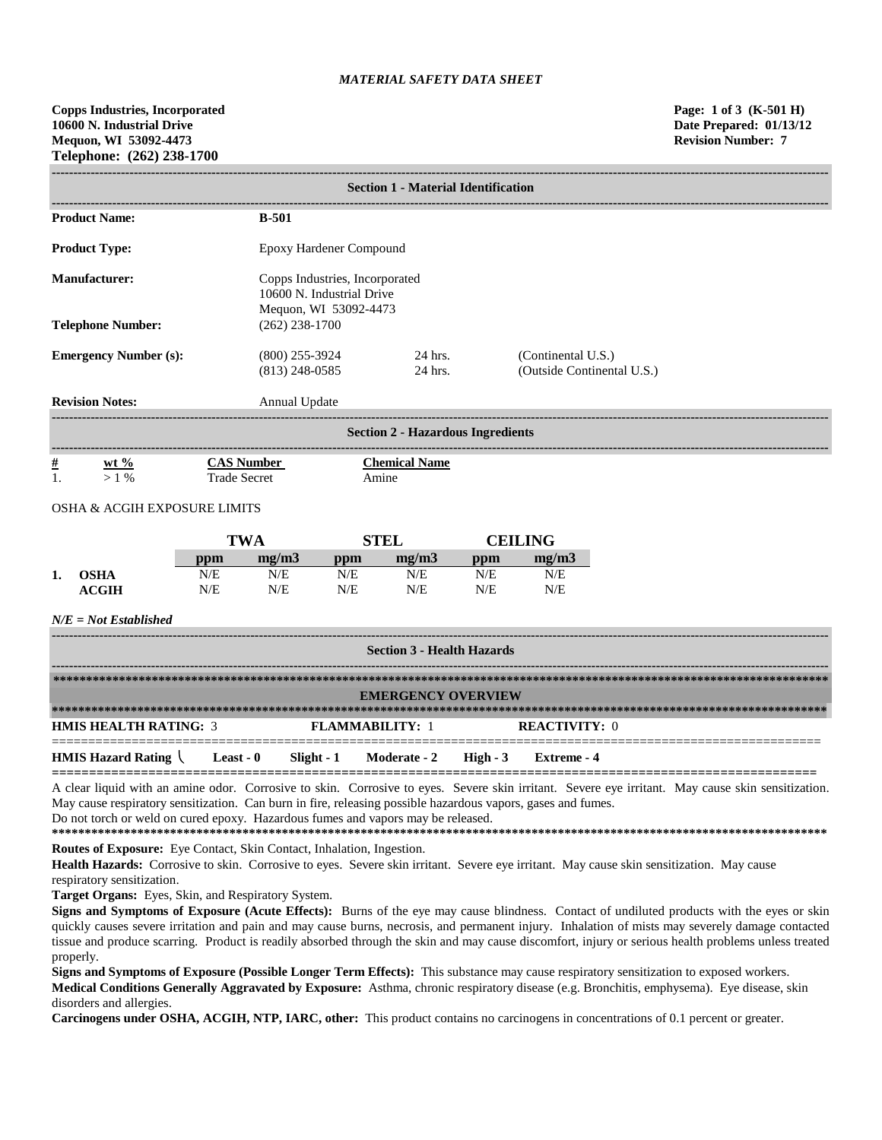| <b>Section 1 - Material Identification</b> |                                          |                                                                                      |                                                  |  |  |
|--------------------------------------------|------------------------------------------|--------------------------------------------------------------------------------------|--------------------------------------------------|--|--|
|                                            |                                          |                                                                                      |                                                  |  |  |
| <b>Product Name:</b>                       | <b>B-501</b>                             |                                                                                      |                                                  |  |  |
| <b>Product Type:</b>                       |                                          | Epoxy Hardener Compound                                                              |                                                  |  |  |
| Manufacturer:                              |                                          | Copps Industries, Incorporated<br>10600 N. Industrial Drive<br>Mequon, WI 53092-4473 |                                                  |  |  |
| <b>Telephone Number:</b>                   | $(262)$ 238-1700                         |                                                                                      |                                                  |  |  |
| <b>Emergency Number (s):</b>               | $(800)$ 255-3924<br>$(813)$ 248-0585     | 24 hrs.<br>24 hrs.                                                                   | (Continental U.S.)<br>(Outside Continental U.S.) |  |  |
| <b>Revision Notes:</b>                     | Annual Update                            |                                                                                      |                                                  |  |  |
| <b>Section 2 - Hazardous Ingredients</b>   |                                          |                                                                                      |                                                  |  |  |
| $\frac{\#}{1}$<br>wt $\%$<br>$>1\%$        | <b>CAS Number</b><br><b>Trade Secret</b> | <b>Chemical Name</b><br>Amine                                                        |                                                  |  |  |

## OSHA & ACGIH EXPOSURE LIMITS

|    |              | TWA |       | STEL |       | <b>CEILING</b> |       |
|----|--------------|-----|-------|------|-------|----------------|-------|
|    |              | ppm | me/m3 | ppm  | me/m3 | ppm            | mg/m3 |
| 1. | OSHA         | N/E | N/E   | N/E  | N/E   | N/E            | N/E   |
|    | <b>ACGIH</b> | N/E | N/E   | N/E  | N/E   | N/E            | N/E   |

## *N/E = Not Established*

| <b>Section 3 - Health Hazards</b>                                    |  |  |                           |                      |  |
|----------------------------------------------------------------------|--|--|---------------------------|----------------------|--|
|                                                                      |  |  |                           |                      |  |
|                                                                      |  |  | <b>EMERGENCY OVERVIEW</b> |                      |  |
|                                                                      |  |  |                           |                      |  |
| <b>HMIS HEALTH RATING: 3</b>                                         |  |  | <b>FLAMMABILITY: 1</b>    | <b>REACTIVITY: 0</b> |  |
| <b>HMIS Hazard Rating Least - 0</b> Slight - 1 Moderate - 2 High - 3 |  |  |                           | Extreme - 4          |  |

A clear liquid with an amine odor. Corrosive to skin. Corrosive to eyes. Severe skin irritant. Severe eye irritant. May cause skin sensitization. May cause respiratory sensitization. Can burn in fire, releasing possible hazardous vapors, gases and fumes. Do not torch or weld on cured epoxy. Hazardous fumes and vapors may be released.

**\*\*\*\*\*\*\*\*\*\*\*\*\*\*\*\*\*\*\*\*\*\*\*\*\*\*\*\*\*\*\*\*\*\*\*\*\*\*\*\*\*\*\*\*\*\*\*\*\*\*\*\*\*\*\*\*\*\*\*\*\*\*\*\*\*\*\*\*\*\*\*\*\*\*\*\*\*\*\*\*\*\*\*\*\*\*\*\*\*\*\*\*\*\*\*\*\*\*\*\*\*\*\*\*\*\*\*\*\*\*\*\*\*\*\*\*\*\***

**Routes of Exposure:** Eye Contact, Skin Contact, Inhalation, Ingestion.

**Health Hazards:** Corrosive to skin. Corrosive to eyes. Severe skin irritant. Severe eye irritant. May cause skin sensitization. May cause respiratory sensitization.

**Target Organs:** Eyes, Skin, and Respiratory System.

**Signs and Symptoms of Exposure (Acute Effects):** Burns of the eye may cause blindness. Contact of undiluted products with the eyes or skin quickly causes severe irritation and pain and may cause burns, necrosis, and permanent injury. Inhalation of mists may severely damage contacted tissue and produce scarring. Product is readily absorbed through the skin and may cause discomfort, injury or serious health problems unless treated properly.

**Signs and Symptoms of Exposure (Possible Longer Term Effects):** This substance may cause respiratory sensitization to exposed workers. **Medical Conditions Generally Aggravated by Exposure:** Asthma, chronic respiratory disease (e.g. Bronchitis, emphysema). Eye disease, skin disorders and allergies.

**Carcinogens under OSHA, ACGIH, NTP, IARC, other:** This product contains no carcinogens in concentrations of 0.1 percent or greater.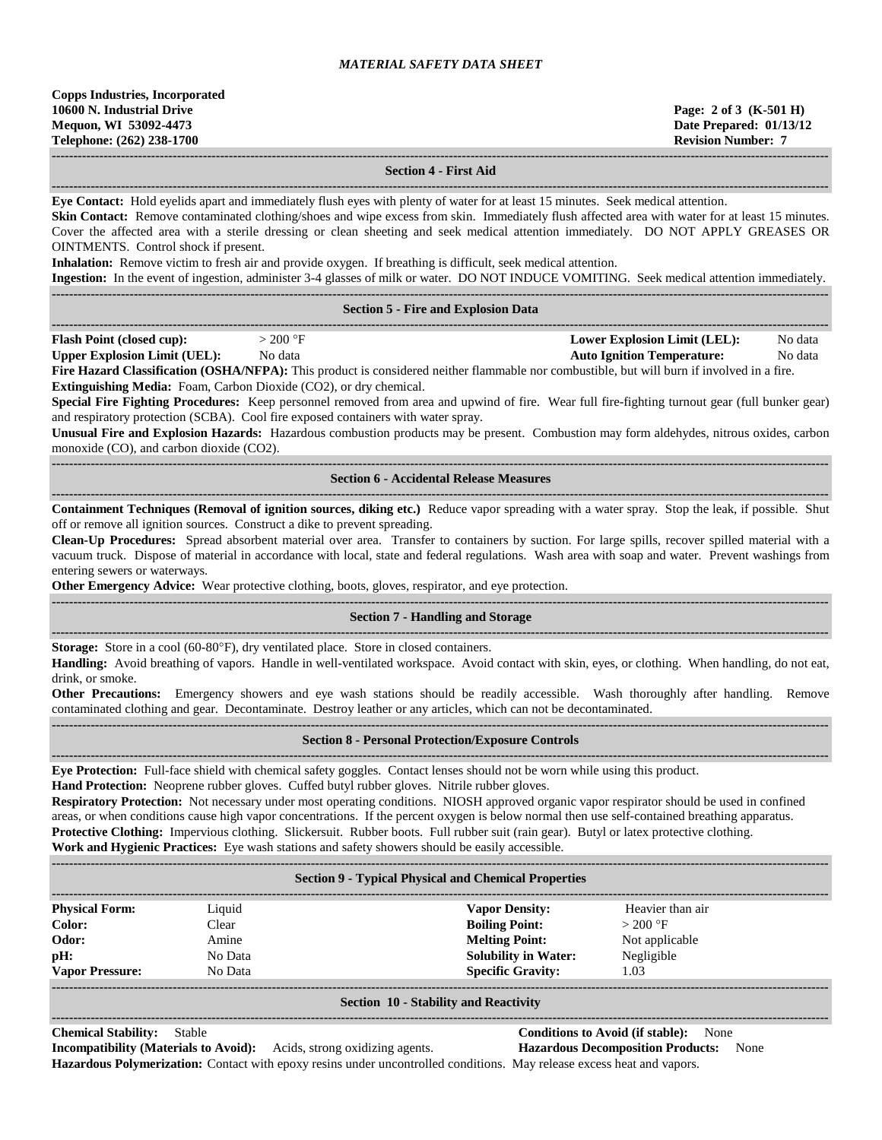**------------------------------------------------------------------------------------------------------------------------------------------------------------------------------------ Section 4 - First Aid**

**------------------------------------------------------------------------------------------------------------------------------------------------------------------------------------ Eye Contact:** Hold eyelids apart and immediately flush eyes with plenty of water for at least 15 minutes. Seek medical attention. **Skin Contact:** Remove contaminated clothing/shoes and wipe excess from skin. Immediately flush affected area with water for at least 15 minutes. Cover the affected area with a sterile dressing or clean sheeting and seek medical attention immediately. DO NOT APPLY GREASES OR OINTMENTS. Control shock if present. **Inhalation:** Remove victim to fresh air and provide oxygen. If breathing is difficult, seek medical attention. **Ingestion:** In the event of ingestion, administer 3-4 glasses of milk or water. DO NOT INDUCE VOMITING. Seek medical attention immediately. **------------------------------------------------------------------------------------------------------------------------------------------------------------------------------------ Section 5 - Fire and Explosion Data ------------------------------------------------------------------------------------------------------------------------------------------------------------------------------------ Flash Point (closed cup):**  $> 200 \text{ °F}$  **Lower Explosion Limit (LEL):** No data **Upper Explosion Limit (UEL):** No data **Auto Ignition Temperature:** No data **Fire Hazard Classification (OSHA/NFPA):** This product is considered neither flammable nor combustible, but will burn if involved in a fire. **Extinguishing Media:** Foam, Carbon Dioxide (CO2), or dry chemical. **Special Fire Fighting Procedures:** Keep personnel removed from area and upwind of fire. Wear full fire-fighting turnout gear (full bunker gear) and respiratory protection (SCBA). Cool fire exposed containers with water spray. **Unusual Fire and Explosion Hazards:** Hazardous combustion products may be present. Combustion may form aldehydes, nitrous oxides, carbon monoxide (CO), and carbon dioxide (CO2). **------------------------------------------------------------------------------------------------------------------------------------------------------------------------------------ Section 6 - Accidental Release Measures ------------------------------------------------------------------------------------------------------------------------------------------------------------------------------------ Containment Techniques (Removal of ignition sources, diking etc.)** Reduce vapor spreading with a water spray. Stop the leak, if possible. Shut off or remove all ignition sources. Construct a dike to prevent spreading. **Clean-Up Procedures:** Spread absorbent material over area. Transfer to containers by suction. For large spills, recover spilled material with a vacuum truck. Dispose of material in accordance with local, state and federal regulations. Wash area with soap and water. Prevent washings from entering sewers or waterways. **Other Emergency Advice:** Wear protective clothing, boots, gloves, respirator, and eye protection. **------------------------------------------------------------------------------------------------------------------------------------------------------------------------------------ Section 7 - Handling and Storage ------------------------------------------------------------------------------------------------------------------------------------------------------------------------------------ Storage:** Store in a cool (60-80°F), dry ventilated place. Store in closed containers. **Handling:** Avoid breathing of vapors. Handle in well-ventilated workspace. Avoid contact with skin, eyes, or clothing. When handling, do not eat, drink, or smoke. **Other Precautions:** Emergency showers and eye wash stations should be readily accessible. Wash thoroughly after handling. Remove contaminated clothing and gear. Decontaminate. Destroy leather or any articles, which can not be decontaminated. **------------------------------------------------------------------------------------------------------------------------------------------------------------------------------------ Section 8 - Personal Protection/Exposure Controls ------------------------------------------------------------------------------------------------------------------------------------------------------------------------------------ Eye Protection:** Full-face shield with chemical safety goggles. Contact lenses should not be worn while using this product. **Hand Protection:** Neoprene rubber gloves. Cuffed butyl rubber gloves. Nitrile rubber gloves. **Respiratory Protection:** Not necessary under most operating conditions. NIOSH approved organic vapor respirator should be used in confined areas, or when conditions cause high vapor concentrations. If the percent oxygen is below normal then use self-contained breathing apparatus. **Protective Clothing:** Impervious clothing. Slickersuit. Rubber boots. Full rubber suit (rain gear). Butyl or latex protective clothing. **Work and Hygienic Practices:** Eye wash stations and safety showers should be easily accessible. **------------------------------------------------------------------------------------------------------------------------------------------------------------------------------------ Section 9 - Typical Physical and Chemical Properties ------------------------------------------------------------------------------------------------------------------------------------------------------------------------------------ Physical Form:** Liquid **Vapor Density:** Heavier than air **Color:** Clear **Clear <b>Boiling Point:**  $> 200 \text{ }^{\circ}\text{F}$ **Odor:** Amine **Melting Point:** Not applicable **pH:** No Data **Solubility in Water:** Negligible **Vapor Pressure:** No Data **Specific Gravity:** 1.03

#### **------------------------------------------------------------------------------------------------------------------------------------------------------------------------------------ Section 10 - Stability and Reactivity**

**------------------------------------------------------------------------------------------------------------------------------------------------------------------------------------**

**Chemical Stability:** Stable **Conditions to Avoid (if stable):** None

**Incompatibility (Materials to Avoid):** Acids, strong oxidizing agents. **Hazardous Decomposition Products:** None **Hazardous Polymerization:** Contact with epoxy resins under uncontrolled conditions. May release excess heat and vapors.